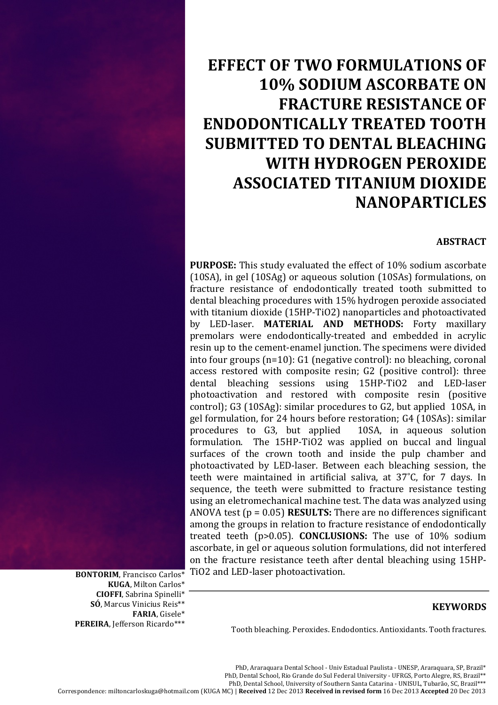# **EFFECT OF TWO FORMULATIONS OF 10% SODIUM ASCORBATE ON FRACTURE RESISTANCE OF ENDODONTICALLY'TREATED TOOTH' SUBMITTED'TO'DENTAL'BLEACHING' WITH'HYDROGEN'PEROXIDE' ASSOCIATED'TITANIUM'DIOXIDE' NANOPARTICLES**

## **ABSTRACT**

**PURPOSE:** This study evaluated the effect of 10% sodium ascorbate (10SA), in gel (10SAg) or aqueous solution (10SAs) formulations, on fracture resistance of endodontically treated tooth submitted to dental bleaching procedures with 15% hydrogen peroxide associated with titanium dioxide (15HP-TiO2) nanoparticles and photoactivated by LED-laser. **MATERIAL AND METHODS:** Forty maxillary premolars were endodontically-treated and embedded in acrylic resin up to the cement-enamel junction. The specimens were divided into four groups (n=10): G1 (negative control): no bleaching, coronal access restored with composite resin;  $G2$  (positive control): three dental bleaching sessions using 15HP-TiO2 and LED-laser photoactivation and restored with composite resin (positive control); G3 (10SAg): similar procedures to G2, but applied  $\alpha$ 10SA, in gel formulation, for 24 hours before restoration; G4 (10SAs): similar procedures to G3, but applied 10SA, in aqueous solution formulation. The 15HP-TiO2 was applied on buccal and lingual surfaces of the crown tooth and inside the pulp chamber and photoactivated by LED-laser. Between each bleaching session, the teeth were maintained in artificial saliva, at  $37^{\circ}$ C, for 7 days. In sequence, the teeth were submitted to fracture resistance testing using an eletromechanical machine test. The data was analyzed using ANOVA test ( $p = 0.05$ ) **RESULTS:** There are no differences significant among the groups in relation to fracture resistance of endodontically treated teeth (p>0.05). **CONCLUSIONS:** The use of 10% sodium ascorbate, in gel or aqueous solution formulations, did not interfered on the fracture resistance teeth after dental bleaching using 15HP-TiO2 and LED-laser photoactivation.

**KUGA**, Milton Carlos\* **CIOFFI**,%Sabrina%Spinelli\* **SÓ**, Marcus Vinicius Reis<sup>\*\*</sup> **FARIA**,%Gisele\* PEREIRA, Jefferson Ricardo\*\*\*

**BONTORIM, Francisco Carlos\*** 

## **KEYWORDS**

Tooth bleaching. Peroxides. Endodontics. Antioxidants. Tooth fractures.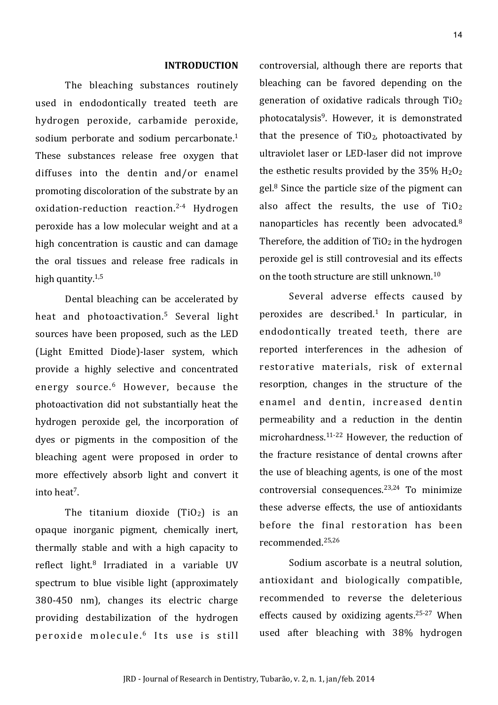## **INTRODUCTION**

The bleaching substances routinely used in endodontically treated teeth are hydrogen peroxide, carbamide peroxide, sodium perborate and sodium percarbonate. $1$ These substances release free oxygen that diffuses into the dentin and/or enamel promoting discoloration of the substrate by an  $oxidation-reduction$  reaction.<sup>2-4</sup> Hydrogen peroxide has a low molecular weight and at a high concentration is caustic and can damage the oral tissues and release free radicals in high quantity. $1,5$ 

Dental bleaching can be accelerated by heat and photoactivation.<sup>5</sup> Several light sources have been proposed, such as the LED (Light Emitted Diode)-laser system, which provide a highly selective and concentrated energy source.<sup>6</sup> However, because the photoactivation did not substantially heat the hydrogen peroxide gel, the incorporation of dyes or pigments in the composition of the bleaching agent were proposed in order to more effectively absorb light and convert it into heat<sup>7</sup>.

The titanium dioxide  $(TiO<sub>2</sub>)$  is an opaque inorganic pigment, chemically inert, thermally stable and with a high capacity to reflect light.<sup>8</sup> Irradiated in a variable UV spectrum to blue visible light (approximately  $380-450$  nm), changes its electric charge providing destabilization of the hydrogen peroxide molecule.<sup>6</sup> Its use is still controversial, although there are reports that bleaching can be favored depending on the generation of oxidative radicals through  $TiO<sub>2</sub>$ photocatalysis<sup>9</sup>. However, it is demonstrated that the presence of  $TiO<sub>2</sub>$ , photoactivated by ultraviolet laser or LED-laser did not improve the esthetic results provided by the  $35\%$  H<sub>2</sub>O<sub>2</sub> gel. $8$  Since the particle size of the pigment can also affect the results, the use of  $TiO<sub>2</sub>$ nanoparticles has recently been advocated.<sup>8</sup> Therefore, the addition of  $TiO<sub>2</sub>$  in the hydrogen peroxide gel is still controvesial and its effects on the tooth structure are still unknown.<sup>10</sup>

Several adverse effects caused by peroxides are described.<sup>1</sup> In particular, in endodontically treated teeth, there are reported interferences in the adhesion of restorative materials, risk of external resorption, changes in the structure of the enamel and dentin, increased dentin permeability and a reduction in the dentin microhardness. $11-22$  However, the reduction of the fracture resistance of dental crowns after the use of bleaching agents, is one of the most controversial consequences. $23,24$  To minimize these adverse effects, the use of antioxidants before the final restoration has been recommended.25,26

Sodium ascorbate is a neutral solution, antioxidant and biologically compatible, recommended to reverse the deleterious effects caused by oxidizing agents.<sup>25-27</sup> When used after bleaching with 38% hydrogen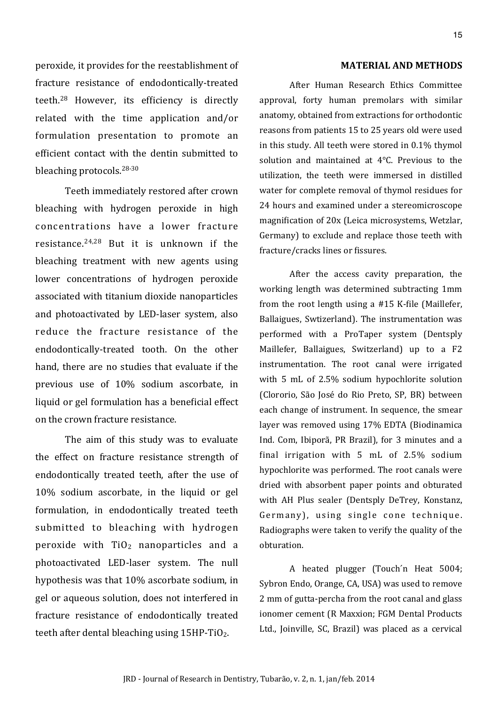peroxide, it provides for the reestablishment of fracture resistance of endodontically-treated teeth.<sup>28</sup> However, its efficiency is directly related with the time application and/or formulation presentation to promote an efficient contact with the dentin submitted to bleaching protocols. $28-30$ 

Teeth immediately restored after crown bleaching with hydrogen peroxide in high concentrations have a lower fracture resistance. $24,28$  But it is unknown if the bleaching treatment with new agents using lower concentrations of hydrogen peroxide associated with titanium dioxide nanoparticles and photoactivated by LED-laser system, also reduce the fracture resistance of the endodontically-treated tooth. On the other hand, there are no studies that evaluate if the previous use of 10% sodium ascorbate, in liquid or gel formulation has a beneficial effect on the crown fracture resistance.

The aim of this study was to evaluate the effect on fracture resistance strength of endodontically treated teeth, after the use of  $10\%$  sodium ascorbate, in the liquid or gel formulation, in endodontically treated teeth submitted to bleaching with hydrogen peroxide with  $TiO<sub>2</sub>$  nanoparticles and a photoactivated LED-laser system. The null hypothesis was that 10% ascorbate sodium, in gel or aqueous solution, does not interfered in fracture resistance of endodontically treated teeth after dental bleaching using  $15HP-TiO<sub>2</sub>$ .

## **MATERIAL-AND-METHODS**

After- Human- Research- Ethics- Committeeapproval, forty human premolars with similar anatomy, obtained from extractions for orthodontic reasons from patients 15 to 25 years old were usedin this study. All teeth were stored in 0.1% thymol solution- and- maintained- at- $4^{\circ}$ C. Previous- to-theutilization, the teeth were immersed in-distilledwater-for-complete-removal-of-thymol-residues-for-24 hours and examined under a stereomicroscope magnification of 20x (Leica microsystems, Wetzlar, Germany) to exclude and replace those teeth withfracture/cracks lines or fissures.

After the access cavity preparation, the working-length- was-determined-subtracting-1mmfrom the root length using a  $#15$  K-file (Maillefer, Ballaigues, Swtizerland). The instrumentation wasperformed- with- a- ProTaper- system- (Dentsply-Maillefer, Ballaigues, Switzerland) up to a F2 instrumentation. The root canal were irrigated with 5 mL of 2.5% sodium hypochlorite solution (Clororio, São- José do-Rio-Preto, SP, BR) betweeneach change of instrument. In sequence, the smearlayer-was-removed-using-17%-EDTA-(Biodinamica-Ind. Com, Ibiporã, PR Brazil), for 3 minutes and afinal irrigation with  $5$  mL of 2.5% sodium hypochlorite was performed. The root canals weredried- with-absorbent-paper-points- and-obturatedwith- AH- Plus- sealer- (Dentsply- DeTrey, Konstanz, Germany), using single cone technique. Radiographs-were-taken- to-verify-the-quality-of-theobturation.

A heated plugger (Touch'n Heat 5004; Sybron-Endo, Orange, CA, USA) was used to remove 2 mm of gutta-percha from the root canal and glass ionomer cement (R Maxxion; FGM Dental Products-Ltd., Joinville, SC, Brazil) was placed as a cervical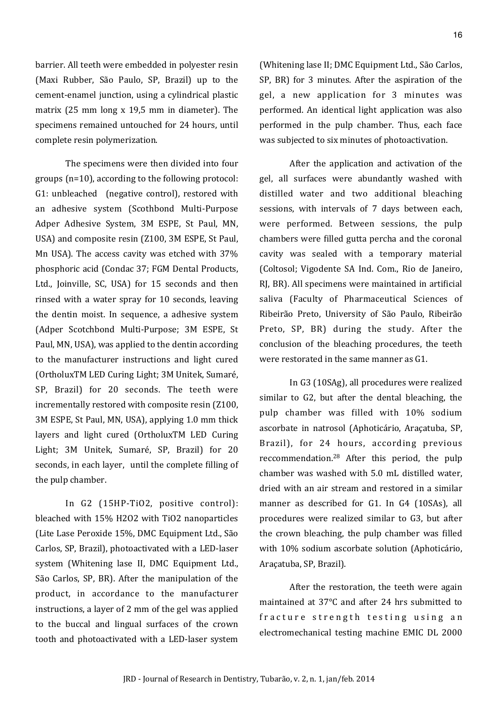barrier. All teeth were embedded in polyester resin-(Maxi- Rubber, São- Paulo, SP, Brazil) up- to- thecement-enamel junction, using a cylindrical plastic matrix (25 mm-long  $x$  19,5 mm in-diameter). The specimens remained untouched for 24 hours, untilcomplete resin polymerization.

The specimens were then divided into four groups  $(n=10)$ , according to the following protocol: G1: unbleached (negative control), restored with an adhesive system (Scothbond Multi-Purpose Adper- Adhesive- System, 3M- ESPE, St- Paul, MN, USA) and composite resin (Z100, 3M ESPE, St Paul, Mn- USA). The-access-cavity- was-etched- with- 37% phosphoric acid (Condac 37; FGM Dental Products, Ltd., Joinville, SC, USA) for 15 seconds and then rinsed- with-a- water-spray- for-10-seconds, leavingthe-dentin-moist. In sequence, a adhesive system-(Adper-Scotchbond- Multi-Purpose; 3M- ESPE, St-Paul, MN, USA), was applied to the dentin accordingto the-manufacturer- instructions- and- light-cured-(OrtholuxTM LED Curing Light; 3M Unitek, Sumaré, SP, Brazil) for 20 seconds. The teeth wereincrementally restored with composite resin (Z100, 3M-ESPE, St-Paul, MN, USA), applying 1.0 mm thick layers and light cured (OrtholuxTM LED Curing-Light; 3M Unitek, Sumaré, SP, Brazil) for 20seconds, in each layer, until the complete filling of the pulp chamber.

In G2 (15HP-TiO2, positive control): bleached with 15% H2O2 with TiO2 nanoparticles (Lite-Lase-Peroxide-15%, DMC-Equipment-Ltd., São-Carlos, SP, Brazil), photoactivated with a LED-laser system (Whitening lase II, DMC Equipment Ltd., São-Carlos, SP, BR). After the manipulation of the product, in accordance to the manufacturer instructions, a layer of 2 mm of the gel was applied to the buccal and lingual surfaces of the crown tooth and photoactivated with a LED-laser system

(Whitening lase II; DMC Equipment Ltd., São Carlos, SP, BR) for 3 minutes. After the aspiration of the gel, a new application for 3 minutes was performed. An identical light application was also performed in the pulp chamber. Thus, each face was subjected to six minutes of photoactivation.

After the application and activation of the gel, all surfaces were abundantly washed with distilled- water- and- two- additional- bleachingsessions, with intervals of 7 days between each, were performed. Between sessions, the pulpchambers were filled gutta percha and the coronalcavity- was- sealed- with- a- temporary- material- (Coltosol; Vigodente- SA- Ind.- Com., Rio- de- Janeiro, RJ, BR). All specimens were maintained in artificial saliva (Faculty of Pharmaceutical Sciences of Ribeirão- Preto, University of São- Paulo, Ribeirão Preto, SP, BR) during the study. After the conclusion of the bleaching procedures, the teethwere restorated in the same manner as G1.

In-G3 (10SAg), all procedures were realized similar- to- G2, but after the-dental-bleaching, thepulp chamber was filled with  $10\%$  sodium ascorbate in natrosol (Aphoticário, Araçatuba, SP, Brazil), for 24 hours, according previous reccommendation.<sup>28</sup> After this period, the pulpchamber-was-washed- with- 5.0 mL-distilled-water, dried with an air stream and restored in a similar manner- as- described- for- G1. In- G4 (10SAs),- allprocedures were realized similar to G3, but afterthe crown-bleaching, the pulp-chamber-was-filledwith- 10% sodium-ascorbate-solution-(Aphoticário, Aracatuba, SP, Brazil).

After the restoration, the teeth were again maintained at 37°C and after 24 hrs submitted to fracture strength testing using an electromechanical testing machine EMIC DL 2000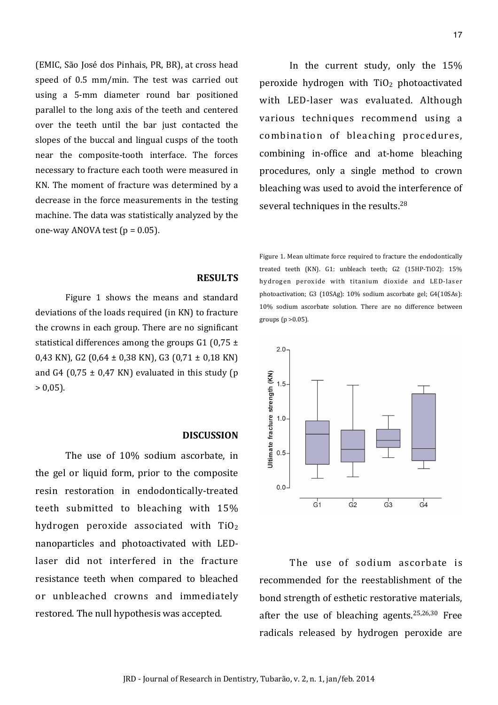(EMIC, São José dos Pinhais, PR, BR), at cross-head speed of 0.5 mm/min. The test-was-carried-outusing a 5-mm diameter round bar-positioned parallel- to- the-long- axis- of the- teeth- and- centeredover the teeth until the bar- just- contacted theslopes of the buccal and lingual cusps of the toothnear the composite-tooth interface. The forces necessary to fracture each tooth were measured in-KN. The moment of fracture- was-determined- by-adecrease in the force measurements in the testingmachine. The data was statistically analyzed by the one-way ANOVA test ( $p = 0.05$ ).

In the current study, only the  $15%$ peroxide hydrogen with  $TiO<sub>2</sub>$  photoactivated with LED-laser was evaluated. Although various techniques recommend using a combination of bleaching procedures, combining in-office and at-home bleaching procedures, only a single method to crown bleaching was used to avoid the interference of several techniques in the results.<sup>28</sup>

# Figure 1. Mean ultimate force required to fracture the endodontically treated teeth (KN). G1: unbleach teeth; G2 (15HP-TiO2): 15% hydrogen peroxide with titanium dioxide and LED-laser photoactivation; G3 (10SAg): 10% sodium ascorbate gel; G4(10SAs): 10% sodium ascorbate solution. There are no difference between groups ( $p > 0.05$ ).



The use of sodium ascorbate is recommended for the reestablishment of the bond strength of esthetic restorative materials, after the use of bleaching agents.<sup>25,26,30</sup> Free radicals released by hydrogen peroxide are

## **RESULTS**

Figure 1 shows the means and standard deviations of the loads required (in KN) to fracture the crowns in each group. There are no significant statistical differences among the groups G1 (0,75  $\pm$ 0,43 KN), G2  $(0.64 \pm 0.38 \text{ KN})$ , G3  $(0.71 \pm 0.18 \text{ KN})$ and G4 (0,75  $\pm$  0,47 KN) evaluated in this study (p  $> 0,05$ ).

#### **DISCUSSION**

The use of 10% sodium ascorbate, in the gel or liquid form, prior to the composite resin restoration in endodontically-treated teeth submitted to bleaching with 15% hydrogen peroxide associated with  $TiO<sub>2</sub>$ nanoparticles and photoactivated with LEDlaser did not interfered in the fracture resistance teeth when compared to bleached or unbleached crowns and immediately restored. The null hypothesis was accepted.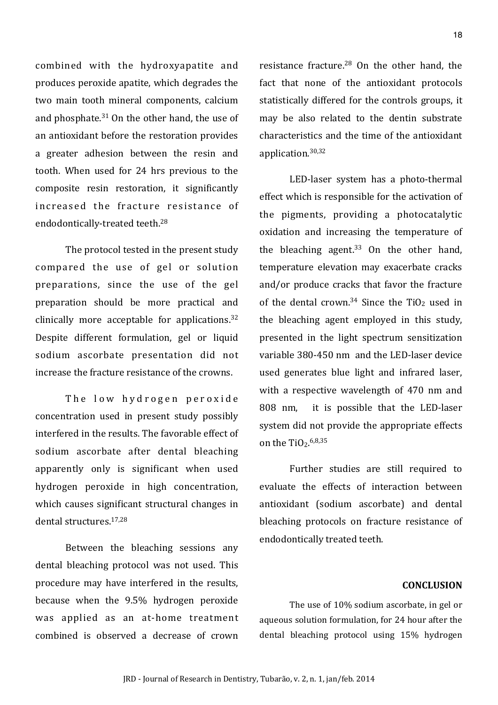combined with the hydroxyapatite and produces peroxide apatite, which degrades the two main tooth mineral components, calcium and phosphate. $31$  On the other hand, the use of an antioxidant before the restoration provides a greater adhesion between the resin and tooth. When used for 24 hrs previous to the composite resin restoration, it significantly increased the fracture resistance of endodontically-treated teeth.<sup>28</sup>

The protocol tested in the present study compared the use of gel or solution preparations, since the use of the gel preparation should be more practical and clinically more acceptable for applications. $32$ Despite different formulation, gel or liquid sodium ascorbate presentation did not increase the fracture resistance of the crowns.

The low hydrogen peroxide concentration used in present study possibly interfered in the results. The favorable effect of sodium ascorbate after dental bleaching apparently only is significant when used hydrogen peroxide in high concentration, which causes significant structural changes in dental structures.<sup>17,28</sup>

Between the bleaching sessions any dental bleaching protocol was not used. This procedure may have interfered in the results, because when the 9.5% hydrogen peroxide was applied as an at-home treatment combined is observed a decrease of crown resistance fracture. $28$  On the other hand, the fact that none of the antioxidant protocols statistically differed for the controls groups, it may be also related to the dentin substrate characteristics and the time of the antioxidant application.30,32

LED-laser system has a photo-thermal effect which is responsible for the activation of the pigments, providing a photocatalytic oxidation and increasing the temperature of the bleaching agent.<sup>33</sup> On the other hand, temperature elevation may exacerbate cracks and/or produce cracks that favor the fracture of the dental crown. $34$  Since the TiO<sub>2</sub> used in the bleaching agent employed in this study, presented in the light spectrum sensitization variable 380-450 nm and the LED-laser device used generates blue light and infrared laser, with a respective wavelength of 470 nm and 808 nm, it is possible that the LED-laser system did not provide the appropriate effects on the TiO<sub>2</sub>.<sup>6,8,35</sup>

Further studies are still required to evaluate the effects of interaction between antioxidant (sodium ascorbate) and dental bleaching protocols on fracture resistance of endodontically treated teeth.

## **CONCLUSION**

The use of 10% sodium ascorbate, in gel oraqueous-solution-formulation, for 24 hour after thedental- bleaching- protocol- using- 15%- hydrogen-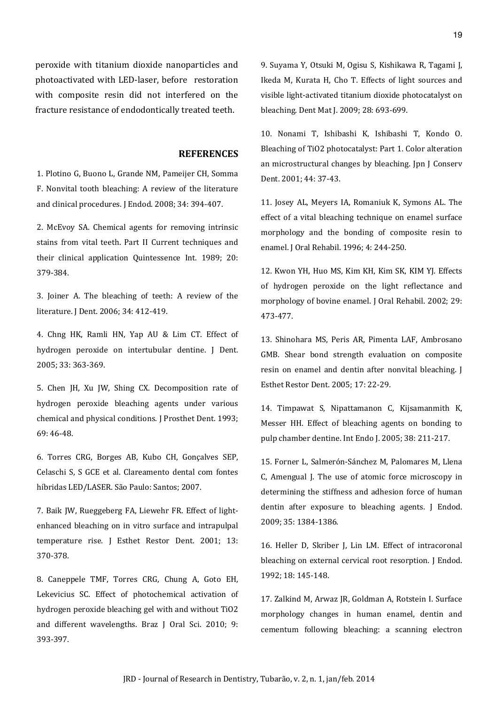peroxide- with- titanium-dioxide-nanoparticles- andphotoactivated with LED-laser, before restoration with-composite resin-did- not- interfered on thefracture resistance of endodontically treated teeth.

## **REFERENCES**

1. Plotino G. Buono L. Grande NM, Pameijer CH, Somma F. Nonvital tooth bleaching: A review of the literature and clinical procedures. J Endod. 2008; 34: 394-407.

2. McEvoy SA. Chemical agents for removing intrinsic stains from vital teeth. Part II Current techniques and their clinical application Quintessence Int. 1989; 20: 379:384.

3. Joiner A. The bleaching of teeth: A review of the literature. J Dent. 2006; 34: 412-419.

4. Chng HK, Ramli HN, Yap AU & Lim CT. Effect of hydrogen peroxide on intertubular dentine. J Dent. 2005; 33: 363-369.

5. Chen JH, Xu JW, Shing CX. Decomposition rate of hydrogen peroxide bleaching agents under various chemical and physical conditions. J Prosthet Dent. 1993; 69: 46-48.

6. Torres CRG, Borges AB, Kubo CH, Gonçalves SEP, Celaschi S, S GCE et al. Clareamento dental com fontes híbridas LED/LASER. São Paulo: Santos; 2007.

7. Baik JW, Rueggeberg FA, Liewehr FR. Effect of lightenhanced bleaching on in vitro surface and intrapulpal temperature rise. J Esthet Restor Dent. 2001; 13: 370:378.

8. Caneppele TMF, Torres CRG, Chung A, Goto EH, Lekevicius SC. Effect of photochemical activation of hydrogen peroxide bleaching gel with and without TiO2 and different wavelengths. Braz J Oral Sci. 2010; 9: 393:397.

9. Suyama Y, Otsuki M, Ogisu S, Kishikawa R, Tagami J, Ikeda M, Kurata H, Cho T. Effects of light sources and visible light-activated titanium dioxide photocatalyst on bleaching. Dent Mat J. 2009; 28: 693-699.

10. Nonami T, Ishibashi K, Ishibashi T, Kondo O. Bleaching of TiO2 photocatalyst: Part 1. Color alteration an microstructural changes by bleaching. Jpn J Conserv Dent. 2001; 44: 37-43.

11. Josey AL, Meyers IA, Romaniuk K, Symons AL. The effect of a vital bleaching technique on enamel surface morphology and the bonding of composite resin to enamel. J Oral Rehabil. 1996; 4: 244-250.

12. Kwon YH, Huo MS, Kim KH, Kim SK, KIM YJ. Effects of hydrogen peroxide on the light reflectance and morphology of bovine enamel. J Oral Rehabil. 2002; 29: 473:477.

13. Shinohara MS, Peris AR, Pimenta LAF, Ambrosano GMB. Shear bond strength evaluation on composite resin on enamel and dentin after nonvital bleaching. J Esthet Restor Dent. 2005; 17: 22-29.

14. Timpawat S, Nipattamanon C, Kijsamanmith K, Messer HH. Effect of bleaching agents on bonding to pulp chamber dentine. Int Endo J. 2005; 38: 211-217.

15. Forner L, Salmerón-Sánchez M, Palomares M, Llena C, Amengual J. The use of atomic force microscopy in determining the stiffness and adhesion force of human dentin after exposure to bleaching agents. J Endod. 2009; 35: 1384-1386.

16. Heller D, Skriber J, Lin LM. Effect of intracoronal bleaching on external cervical root resorption. J Endod. 1992; 18: 145-148.

17. Zalkind M, Arwaz JR, Goldman A, Rotstein I. Surface morphology changes in human enamel, dentin and cementum following bleaching: a scanning electron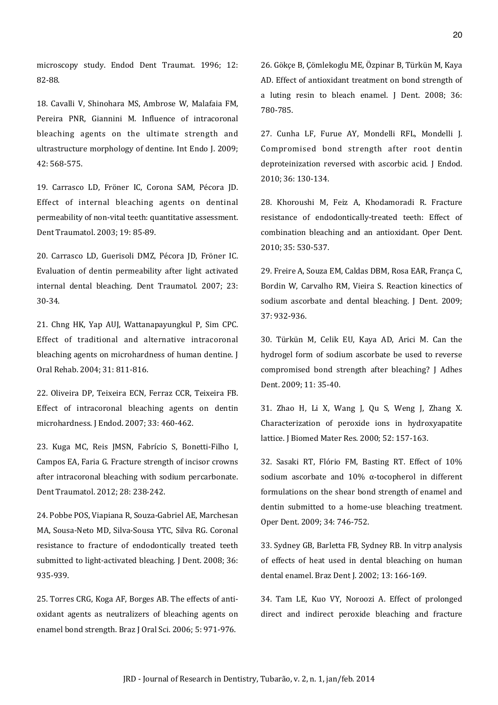microscopy study. Endod Dent Traumat. 1996; 12: 82:88.

18. Cavalli V, Shinohara MS, Ambrose W, Malafaia FM, Pereira PNR, Giannini M. Influence of intracoronal bleaching agents on the ultimate strength and ultrastructure morphology of dentine. Int Endo J. 2009: 42: 568-575.

19. Carrasco LD, Fröner IC, Corona SAM, Pécora JD. Effect of internal bleaching agents on dentinal permeability of non-vital teeth: quantitative assessment. Dent Traumatol. 2003; 19: 85-89.

20. Carrasco LD, Guerisoli DMZ, Pécora JD, Fröner IC. Evaluation of dentin permeability after light activated internal dental bleaching. Dent Traumatol. 2007; 23: 30:34.

21. Chng HK, Yap AUJ, Wattanapayungkul P, Sim CPC. Effect of traditional and alternative intracoronal bleaching agents on microhardness of human dentine. J Oral Rehab. 2004; 31: 811-816.

22. Oliveira DP, Teixeira ECN, Ferraz CCR, Teixeira FB. Effect of intracoronal bleaching agents on dentin microhardness. J Endod. 2007; 33: 460-462.

23. Kuga MC, Reis JMSN, Fabrício S, Bonetti-Filho I, Campos EA, Faria G. Fracture strength of incisor crowns after intracoronal bleaching with sodium percarbonate. Dent Traumatol. 2012; 28: 238-242.

24. Pobbe POS, Viapiana R, Souza-Gabriel AE, Marchesan MA, Sousa-Neto MD, Silva-Sousa YTC, Silva RG. Coronal resistance to fracture of endodontically treated teeth submitted to light-activated bleaching. J Dent. 2008; 36: 935:939.

25. Torres CRG, Koga AF, Borges AB. The effects of antioxidant agents as neutralizers of bleaching agents on enamel bond strength. Braz J Oral Sci. 2006; 5: 971-976.

26. Gökçe B, Çömlekoglu ME, Özpinar B, Türkün M, Kaya AD. Effect of antioxidant treatment on bond strength of a luting resin to bleach enamel. J Dent. 2008; 36: 780:785.

27. Cunha LF, Furue AY, Mondelli RFL, Mondelli J. Compromised bond strength after root dentin deproteinization reversed with ascorbic acid. J Endod. 2010; 36: 130-134.

28. Khoroushi M, Feiz A, Khodamoradi R. Fracture resistance of endodontically-treated teeth: Effect of combination bleaching and an antioxidant. Oper Dent. 2010; 35: 530-537.

29. Freire A, Souza EM, Caldas DBM, Rosa EAR, França C, Bordin W, Carvalho RM, Vieira S. Reaction kinectics of sodium ascorbate and dental bleaching. J Dent. 2009; 37: 932-936.

30. Türkün M, Celik EU, Kaya AD, Arici M. Can the hydrogel form of sodium ascorbate be used to reverse compromised bond strength after bleaching? J Adhes Dent. 2009; 11: 35-40.

31. Zhao H, Li X, Wang J, Ou S, Weng J, Zhang X. Characterization of peroxide ions in hydroxyapatite lattice. J Biomed Mater Res. 2000; 52: 157-163.

32. Sasaki RT, Flório FM, Basting RT. Effect of 10% sodium ascorbate and  $10\%$  α-tocopherol in different formulations on the shear bond strength of enamel and dentin submitted to a home-use bleaching treatment. Oper Dent. 2009; 34: 746-752.

33. Sydney GB, Barletta FB, Sydney RB. In vitrp analysis of effects of heat used in dental bleaching on human dental enamel. Braz Dent J. 2002; 13: 166-169.

34. Tam LE, Kuo VY, Noroozi A. Effect of prolonged direct and indirect peroxide bleaching and fracture